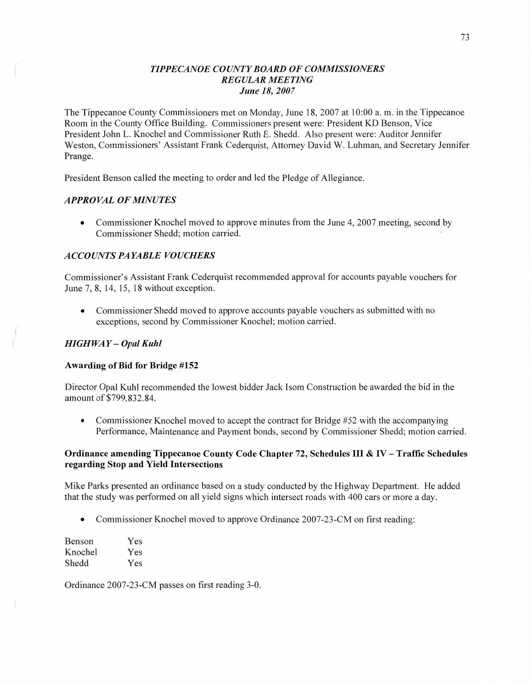## *TIPPE CANOE COUNTY BOARD* OF *COMMISSIONERS REGULAR MEETING June* 18, *2007*

The Tippecanoe County Commissioners met on Monday, June 18, 2007 at 10:00 a. m. in the Tippecanoe Room in the County Office Building. Commissioners present were: President KD Benson, **Vice**  President John L. Knochel and Commissioner Ruth E. Shedd. Also present were: Auditor Jennifer Weston, Commissioners' Assistant Frank Cederquist, Attorney David W. Luhman, and Secretary Jennifer Prange.

President Benson called the meeting to order and led the Pledge of Allegiance.

## *APPROVAL* OF *MINUTES*

• Commissioner Knochel moved to approve minutes from the June 4, 2007 meeting, second by Commissioner Shedd; motion carried.

## *ACCOUYV T S* PA *YABLE VOUCHERS*

Commissioner's Assistant Frank Cederquist recommended approval for accounts payable vouchers for June 7, 8, 14, 15, 18 without exception.

**0** Commissioner Shedd moved to approve accounts payable vouchers as submitted with no exceptions, second by Commissioner Knochel; motion carried.

### *HIGHWAY* **—** *Opal Kuhl*

### **Awarding** of Bid for **Bridge #152**

Director Opal Kuhl recommended the lowest bidder Jack Isom Construction be awarded the bid in the amount of **\$799,832.84.** 

• Commissioner Knochel moved to accept the contract for Bridge #52 with the accompanying Performance, Maintenance and Payment bonds, second by Commissioner Shedd; motion canied.

## **Ordinance amending Tippecanoe County Code Chapter** 72, **Schedules** III **&** IV— **Traffic Schedules regarding Stop** and **Yield Intersections**

Mike Parks presented an ordinance based on a study conducted by the Highway Department. He added that the study was performed on all yield signs which intersect roads with 400 cars or more a day.

Commissioner Knochel moved to approve Ordinance 2007-23-CM on first reading:

| Benson  | Yes |
|---------|-----|
| Knochel | Yes |
| Shedd   | Yes |

Ordinance 2007-23-CM passes on first reading 3-0.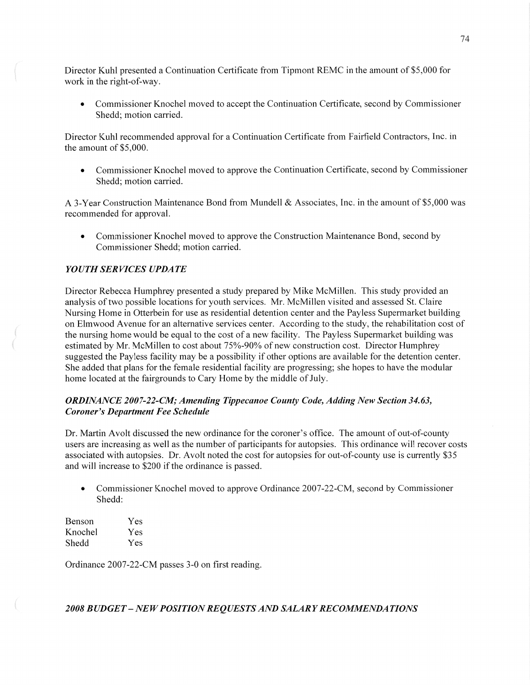Director Kuhl presented a Continuation Certificate from Tipmont REMC in the amount of \$5 ,000 for work in the right-of-way.

**0** Commissioner Knochel moved to accept the Continuation Certificate, second by Commissioner Shedd; motion carried.

Director Kuhl recommended approval for a Continuation Certificate from Fairfield Contractors, Inc. in the amount of \$5,000.

**0** Commissioner Knochel moved to approve the Continuation Certificate, second by Commissioner Shedd; motion carried.

A 3-Year Construction Maintenance Bond from Mundell & Associates, Inc. in the amount of \$5,000 was recommended for approval.

• Commissioner Knochel moved to approve the Construction Maintenance Bond, second by Commissioner Shedd; motion carried.

# *YOUTHSERVICES UPDATE*

Director Rebecca Humphrey presented a study prepared by Mike McMillen. This study provided an analysis of two possible locations for youth services. Mr. McMillen visited and assessed St. Claire Nursing Home in Otterbein for use as residential detention center and the Payless Supermarket building on Elmwood Avenue for an alternative services center. According to the study, the rehabilitation cost of the nursing home would be equal to the cost of **a** new facility. The Payless Supermarket building was estimated by Mr. McMillen to cost about 75%-90% of new construction cost. Director Humphrey suggested the Payless facility may be **a** possibility if other options are available for the detention center. She added that plans for the female residential facility are progressing; she hopes to have the modular home located at the fairgrounds to Cary Home by the middle of July.

## *ORDINANCE 2007-22-CM; Amending Tippecanoe County Code, Adding New Section 34.63, Coroner's Department* Fee *Schedule*

Dr. Martin Avolt discussed the new ordinance for the coroner's office. The amount of out-of-county users are increasing as well as the number of participants for autopsies. This ordinance will recover costs associated with autopsies. Dr. Avolt noted the cost for autopsies for out-of-county use is currently \$35 and will increase to \$200 if the ordinance is passed.

• Commissioner Knochel moved to approve Ordinance 2007-22-CM, second by Commissioner Shedd:

| Benson  | Yes |
|---------|-----|
| Knochel | Yes |
| Shedd   | Yes |

Ordinance 2007-22-CM passes 3-0 on first reading.

2008 BUDGET – NEW POSITION REQUESTS AND SALARY RECOMMENDATIONS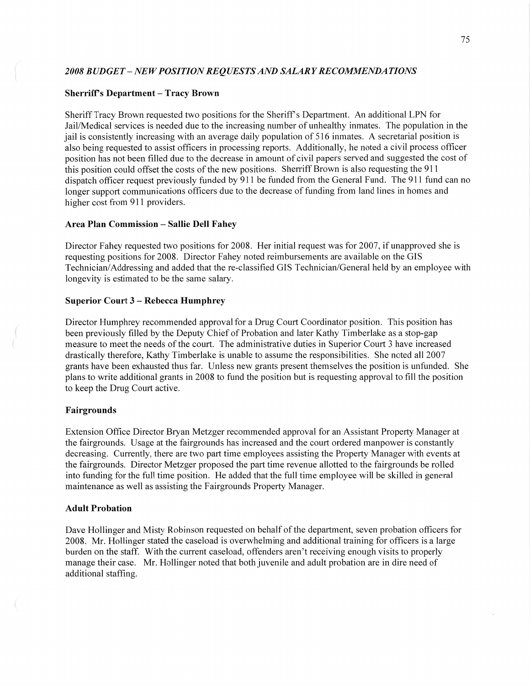### *2008 BUDGET* -— NEW *POSITION* RE *Q UESTS* AND *SALARY* RE *COMMENDA T I* ONS

#### **Sherriff's Department — Tracy Brown**

Sheriff Tracy Brown requested two positions for the Sheriff *s* Department. An additional LPN for Jail/Medical services is needed due to the increasing number of unhealthy inmates. The population in the jail is consistently increasing with an average daily population of 516 inmates. A secretarial position is also being requested to assist officers in processing reports. Additionally, he noted a civil process officer position has not been filled due to the decrease in amount of civil papers served and suggested the cost of this position could offset the costs of the new positions. Sherriff Brown is also requesting the 911 dispatch officer request previously funded by 911 be funded from the General Fund. The 911 fund can no longer support communications officers due to the decrease of funding from land lines in homes and higher cost from 911 providers.

### **Area** Plan Commission **— Sallie** Dell **Fahey**

Director Fahey requested two positions for 2008. Her initial request was for 2007, if unapproved she is requesting positions for 2008. Director Fahey noted reimbursements are available on the GIS Technician/Addressing and added that the re-classified GIS Technician/General held by an employee with longevity is estimated to be the same salary.

#### Superior **Court 3** *—* **Rebecca Humphrey**

Director Humphrey recommended approval for a Drug Court Coordinator position. This position has been previously filled by the Deputy Chief of Probation and later Kathy Timberlake as a stop-gap measure to meet the needs of the court. The administrative duties in Superior Court 3 have increased drastically therefore, Kathy Timberlake is unable to assume the responsibilities. She noted all 2007 grants have been exhausted thus far. Unless new grants present themselves the position is unfunded. She plans to write additional grants in 2008 'to fund the position but is requesting approval to fill the position to keep the Drug Court active.

### **Fairgrounds**

Extension Office Director Bryan Metzger recommended approval for an Assistant Property Manager at the fairgrounds. Usage at the fairgrounds has increased and the court ordered manpower is constantly decreasing. Currently, there are two part time employees assisting the Property Manager with events at the fairgrounds. Director Metzger proposed the part time revenue allotted to the fairgrounds be rolled into funding for the full time position. He added that the full time employee will be skilled in general maintenance as well as assisting the Fairgrounds Property Manager.

#### **Adult Probation**

Dave Hollinger and Misty Robinson requested on behalf of the department, seven probation officers for 2008. Mr. Hollinger stated the caseload is overwhelming and additional training for officers is **a** large burden on the staff. With the current caseload, offenders aren't receiving enough visits to properly manage their case. Mr. Hollinger noted that both juvenile and adult probation are in dire need of additional staffing.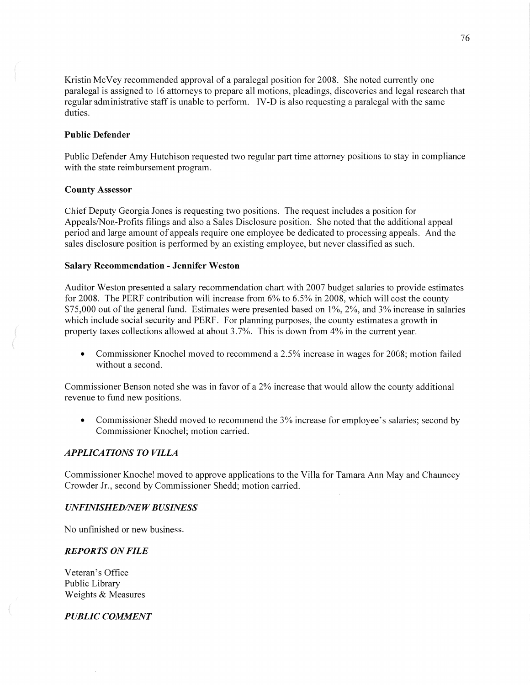Kristin McVey recommended approval of a paralegal position for 2008. She noted currently one paralegal is assigned to 16 attorneys to prepare all motions, pleadings, discoveries and legal research that regular administrative staff is unable to perform. **IV-D** is also requesting a paralegal with the same duties.

## Public **Defender**

Public Defender Amy Hutchison requested two regular part time attorney positions to stay in compliance with the state reimbursement program.

#### **County Assessor**

Chief Deputy Georgia Jones is requesting two positions. The request includes a position for Appeals/Non-Profits filings and also **a** Sales Disclosure position. She noted that the additional appeal period and large amount of appeals require one employee be dedicated to processing appeals. And the sales disclosure position is performed by an existing employee, but never classified as such.

#### Salary **Recommendation** *-* Jennifer Weston

Auditor Weston presented a salary recommendation chart with 2007 budget salaries to provide estimates for 2008. The PERF contribution will increase from 6% to 6.5% in 2008, which will cost the county \$75,000 out of the general fund. Estimates were presented based on 1%, 2%, and 3% increase in salaries which include social security and PERF. For planning purposes, the county estimates **a** growth in property taxes collections allowed at about 3.7%. This is down from 4% in the current year.

**0** Commissioner Knochel moved to recommend **a** 2.5% increase in wages for 2008; motion failed without a second.

Commissioner Benson noted she was in favor of a 2% increase that would allow the county additional revenue to fund new positions.

**0** Commissioner Shedd moved to recommend the 3% increase for employee's salaries; second by Commissioner Knochel; motion carried.

## *APPLICATIONS TO VILLA*

Commissioner Knochel moved to approve applications to the Villa for Tamara Ann May and Chauncey Crowder Jr., second by Commissioner Shedd; motion carried.

#### *UNFINISHED/NE W B USINESS*

No unfinished or new business.

### *REPORTS* ON *FILE*

Veteran's Office Public Library Weights & Measures

*,* "WN

*PUBLIC COMMENT*